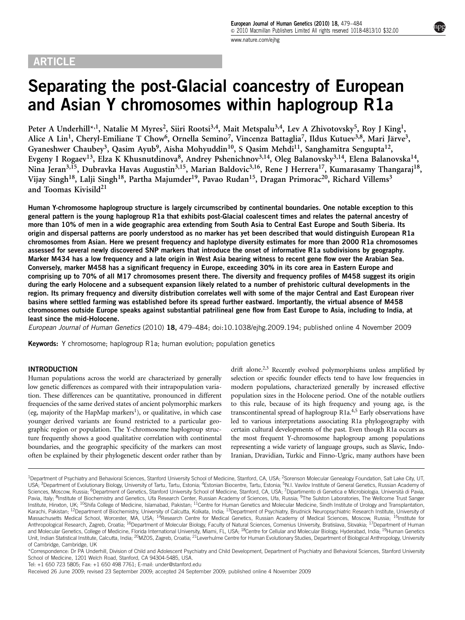# **ARTICLE**

# Separating the post-Glacial coancestry of European and Asian Y chromosomes within haplogroup R1a

Peter A Underhill\*<sup>,1</sup>, Natalie M Myres<sup>2</sup>, Siiri Rootsi<sup>3,4</sup>, Mait Metspalu<sup>3,4</sup>, Lev A Zhivotovsky<sup>5</sup>, Roy J King<sup>1</sup>, Alice A Lin<sup>1</sup>, Cheryl-Emiliane T Chow<sup>6</sup>, Ornella Semino<sup>7</sup>, Vincenza Battaglia<sup>7</sup>, Ildus Kutuev<sup>3,8</sup>, Mari Järve<sup>3</sup>, Gyaneshwer Chaubey<sup>3</sup>, Qasim Ayub<sup>9</sup>, Aisha Mohyuddin<sup>10</sup>, S Qasim Mehdi<sup>11</sup>, Sanghamitra Sengupta<sup>12</sup>, Evgeny I Rogaev<sup>13</sup>, Elza K Khusnutdinova<sup>8</sup>, Andrey Pshenichnov<sup>3,14</sup>, Oleg Balanovsky<sup>3,14</sup>, Elena Balanovska<sup>14</sup>, Nina Jeran<sup>3,15</sup>, Dubravka Havas Augustin<sup>3,15</sup>, Marian Baldovic<sup>3,16</sup>, Rene J Herrera<sup>17</sup>, Kumarasamy Thangaraj<sup>18</sup>, Vijay Singh<sup>18</sup>, Lalji Singh<sup>18</sup>, Partha Majumder<sup>19</sup>, Pavao Rudan<sup>15</sup>, Dragan Primorac<sup>20</sup>, Richard Villems<sup>3</sup> and Toomas Kivisild<sup>21</sup>

Human Y-chromosome haplogroup structure is largely circumscribed by continental boundaries. One notable exception to this general pattern is the young haplogroup R1a that exhibits post-Glacial coalescent times and relates the paternal ancestry of more than 10% of men in a wide geographic area extending from South Asia to Central East Europe and South Siberia. Its origin and dispersal patterns are poorly understood as no marker has yet been described that would distinguish European R1a chromosomes from Asian. Here we present frequency and haplotype diversity estimates for more than 2000 R1a chromosomes assessed for several newly discovered SNP markers that introduce the onset of informative R1a subdivisions by geography. Marker M434 has a low frequency and a late origin in West Asia bearing witness to recent gene flow over the Arabian Sea. Conversely, marker M458 has a significant frequency in Europe, exceeding 30% in its core area in Eastern Europe and comprising up to 70% of all M17 chromosomes present there. The diversity and frequency profiles of M458 suggest its origin during the early Holocene and a subsequent expansion likely related to a number of prehistoric cultural developments in the region. Its primary frequency and diversity distribution correlates well with some of the major Central and East European river basins where settled farming was established before its spread further eastward. Importantly, the virtual absence of M458 chromosomes outside Europe speaks against substantial patrilineal gene flow from East Europe to Asia, including to India, at least since the mid-Holocene.

European Journal of Human Genetics (2010) 18, 479–484; doi[:10.1038/ejhg.2009.194](http://dx.doi.org/10.1038/ejhg.2009.194); published online 4 November 2009

Keywords: Y chromosome; haplogroup R1a; human evolution; population genetics

### INTRODUCTION

Human populations across the world are characterized by generally low genetic differences as compared with their intrapopulation variation. These differences can be quantitative, pronounced in different frequencies of the same derived states of ancient polymorphic markers (eg, majority of the HapMap markers<sup>1</sup>), or qualitative, in which case younger derived variants are found restricted to a particular geographic region or population. The Y-chromosome haplogroup structure frequently shows a good qualitative correlation with continental boundaries, and the geographic specificity of the markers can most often be explained by their phylogenetic descent order rather than by drift alone.<sup>2,3</sup> Recently evolved polymorphisms unless amplified by selection or specific founder effects tend to have low frequencies in modern populations, characterized generally by increased effective population sizes in the Holocene period. One of the notable outliers to this rule, because of its high frequency and young age, is the transcontinental spread of haplogroup R1a[.4,5](#page-4-0) Early observations have led to various interpretations associating R1a phylogeography with certain cultural developments of the past. Even though R1a occurs as the most frequent Y-chromosome haplogroup among populations representing a wide variety of language groups, such as Slavic, Indo-Iranian, Dravidian, Turkic and Finno-Ugric, many authors have been

Tel: +1 650 723 5805; Fax: +1 650 498 7761; E-mail: [under@stanford.edu](mailto:under@stanford.edu)

<sup>&</sup>lt;sup>1</sup>Department of Psychiatry and Behavioral Sciences, Stanford University School of Medicine, Stanford, CA, USA; <sup>2</sup>Sorenson Molecular Genealogy Foundation, Salt Lake City, UT, USA; <sup>3</sup>Department of Evolutionary Biology, University of Tartu, Tartu, Estonia; <sup>4</sup>Estonian Biocentre, Tartu, Estonia; <sup>5</sup>N.I. Vavilov Institute of General Genetics, Russian Academy of Sciences, Moscow, Russia; <sup>6</sup>Department of Genetics, Stanford University School of Medicine, Stanford, CA, USA; <sup>7</sup>Dipartimento di Genetica e Microbiologia, Università di Pavia, Pavia, Italy; <sup>8</sup>Institute of Biochemistry and Genetics, Ufa Research Center, Russian Academy of Sciences, Ufa, Russia; <sup>9</sup>The Sulston Laboratories, The Wellcome Trust Sanger Institute, Hinxton, UK; <sup>10</sup>Shifa College of Medicine, Islamabad, Pakistan; <sup>11</sup>Centre for Human Genetics and Molecular Medicine, Sindh Institute of Urology and Transplantation, Karachi, Pakistan; <sup>12</sup>Department of Biochemistry, University of Calcutta, Kolkata, India; <sup>13</sup>Department of Psychiatry, Brudnick Neuropsychiatric Research Institute, University of Massachusetts Medical School, Worcester, MA, USA; <sup>14</sup>Research Centre for Medical Genetics, Russian Academy of Medical Sciences, Moscow, Russia; <sup>15</sup>Institute for Anthropological Research, Zagreb, Croatia; <sup>16</sup>Department of Molecular Biology, Faculty of Natural Sciences, Comenius University, Bratislava, Slovakia; <sup>17</sup>Department of Human and Molecular Genetics, College of Medicine, Florida International University, Miami, FL, USA; <sup>18</sup>Centre for Cellular and Molecular Biology, Hyderabad, India; <sup>19</sup>Human Genetics Unit, Indian Statistical Institute, Calcutta, India; <sup>20</sup>MZOS, Zagreb, Croatia; <sup>21</sup>Leverhulme Centre for Human Evolutionary Studies, Department of Biological Anthropology, University of Cambridge, Cambridge, UK

<sup>\*</sup>Correspondence: Dr PA Underhill, Division of Child and Adolescent Psychiatry and Child Development, Department of Psychiatry and Behavioral Sciences, Stanford University School of Medicine, 1201 Welch Road, Stanford, CA 94304-5485, USA.

Received 26 June 2009; revised 23 September 2009; accepted 24 September 2009; published online 4 November 2009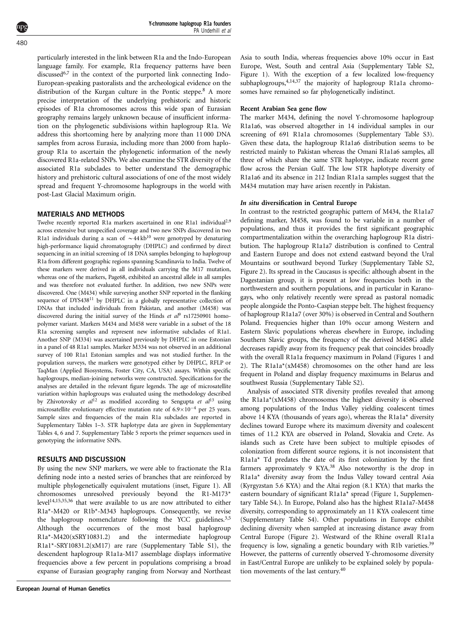Y-chromosome haplogroup R1a founders PA Underhill et al

particularly interested in the link between R1a and the Indo-European language family. For example, R1a frequency patterns have been discussed<sup>[6,7](#page-4-0)</sup> in the context of the purported link connecting Indo-European-speaking pastoralists and the archeological evidence on the distribution of the Kurgan culture in the Pontic steppe[.8](#page-4-0) A more precise interpretation of the underlying prehistoric and historic episodes of R1a chromosomes across this wide span of Eurasian geography remains largely unknown because of insufficient information on the phylogenetic subdivisions within haplogroup R1a. We address this shortcoming here by analyzing more than 11 000 DNA samples from across Eurasia, including more than 2000 from haplogroup R1a to ascertain the phylogenetic information of the newly discovered R1a-related SNPs. We also examine the STR diversity of the associated R1a subclades to better understand the demographic history and prehistoric cultural associations of one of the most widely spread and frequent Y-chromosome haplogroups in the world with post-Last Glacial Maximum origin.

#### MATERIALS AND METHODS

Twelve recently reported R1a markers ascertained in one R1a1 individual<sup>[2,9](#page-4-0)</sup> across extensive but unspecified coverage and two new SNPs discovered in two R1a1 individuals during a scan of  $\sim$  44 kb<sup>[10](#page-4-0)</sup> were genotyped by denaturing high-performance liquid chromatography (DHPLC) and confirmed by direct sequencing in an initial screening of 18 DNA samples belonging to haplogroup R1a from different geographic regions spanning Scandinavia to India. Twelve of these markers were derived in all individuals carrying the M17 mutation, whereas one of the markers, Page68, exhibited an ancestral allele in all samples and was therefore not evaluated further. In addition, two new SNPs were discovered. One (M434) while surveying another SNP reported in the flanking sequence of DYS438<sup>11</sup> by DHPLC in a globally representative collection of DNAs that included individuals from Pakistan, and another (M458) was discovered during the initial survey of the Hinds et  $a^{\beta}$  rs17250[9](#page-4-0)01 homopolymer variant. Markers M434 and M458 were variable in a subset of the 18 R1a screening samples and represent new informative subclades of R1a1. Another SNP (M334) was ascertained previously by DHPLC in one Estonian in a panel of 48 R1a1 samples. Marker M334 was not observed in an additional survey of 100 R1a1 Estonian samples and was not studied further. In the population surveys, the markers were genotyped either by DHPLC, RFLP or TaqMan (Applied Biosystems, Foster City, CA, USA) assays. Within specific haplogroups, median-joining networks were constructed. Specifications for the analyses are detailed in the relevant figure legends. The age of microsatellite variation within haplogroups was evaluated using the methodology described by Zhivotovsky et  $al^{12}$  $al^{12}$  $al^{12}$  as modified according to Sengupta et  $al^{13}$  $al^{13}$  $al^{13}$  using microsatellite evolutionary effective mutation rate of  $6.9 \times 10^{-4}$  per 25 years. Sample sizes and frequencies of the main R1a subclades are reported in Supplementary Tables 1–3. STR haplotype data are given in Supplementary Tables 4, 6 and 7. Supplementary Table 5 reports the primer sequences used in genotyping the informative SNPs.

#### RESULTS AND DISCUSSION

By using the new SNP markers, we were able to fractionate the R1a defining node into a nested series of branches that are reinforced by multiple phylogenetically equivalent mutations (inset, [Figure 1\)](#page-2-0). All chromosomes unresolved previously beyond the R1-M173\* leve[l14,15,35,36](#page-4-0) that were available to us are now attributed to either R1a\*-M420 or R1b\*-M343 haplogroups. Consequently, we revise the haplogroup nomenclature following the YCC guidelines.<sup>3,5</sup> Although the occurrences of the most basal haplogroup R1a\*-M420(xSRY10831.2) and the intermediate haplogroup R1a1\*-SRY10831.2(xM17) are rare (Supplementary Table S1), the descendent haplogroup R1a1a-M17 assemblage displays informative frequencies above a few percent in populations comprising a broad expanse of Eurasian geography ranging from Norway and Northeast Asia to south India, whereas frequencies above 10% occur in East Europe, West, South and central Asia (Supplementary Table S2, [Figure 1\)](#page-2-0). With the exception of a few localized low-frequency subhaplogroups,<sup>4,14,37</sup> the majority of haplogroup R1a1a chromosomes have remained so far phylogenetically indistinct.

#### Recent Arabian Sea gene flow

The marker M434, defining the novel Y-chromosome haplogroup R1a1a6, was observed altogether in 14 individual samples in our screening of 691 R1a1a chromosomes (Supplementary Table S3). Given these data, the haplogroup R1a1a6 distribution seems to be restricted mainly to Pakistan whereas the Omani R1a1a6 samples, all three of which share the same STR haplotype, indicate recent gene flow across the Persian Gulf. The low STR haplotype diversity of R1a1a6 and its absence in 212 Indian R1a1a samples suggest that the M434 mutation may have arisen recently in Pakistan.

#### In situ diversification in Central Europe

In contrast to the restricted geographic pattern of M434, the R1a1a7 defining marker, M458, was found to be variable in a number of populations, and thus it provides the first significant geographic compartmentalization within the overarching haplogroup R1a distribution. The haplogroup R1a1a7 distribution is confined to Central and Eastern Europe and does not extend eastward beyond the Ural Mountains or southward beyond Turkey (Supplementary Table S2, [Figure 2\)](#page-3-0). Its spread in the Caucasus is specific: although absent in the Dagestanian group, it is present at low frequencies both in the northwestern and southern populations, and in particular in Karanogays, who only relatively recently were spread as pastoral nomadic people alongside the Ponto-Caspian steppe belt. The highest frequency of haplogroup R1a1a7 (over 30%) is observed in Central and Southern Poland. Frequencies higher than 10% occur among Western and Eastern Slavic populations whereas elsewhere in Europe, including Southern Slavic groups, the frequency of the derived M458G allele decreases rapidly away from its frequency peak that coincides broadly with the overall R1a1a frequency maximum in Poland ([Figures 1 and](#page-2-0) [2](#page-2-0)). The R1a1a\*(xM458) chromosomes on the other hand are less frequent in Poland and display frequency maximums in Belarus and southwest Russia (Supplementary Table S2).

Analysis of associated STR diversity profiles revealed that among the R1a1a\*(xM458) chromosomes the highest diversity is observed among populations of the Indus Valley yielding coalescent times above 14 KYA (thousands of years ago), whereas the R1a1a\* diversity declines toward Europe where its maximum diversity and coalescent times of 11.2 KYA are observed in Poland, Slovakia and Crete. As islands such as Crete have been subject to multiple episodes of colonization from different source regions, it is not inconsistent that R1a1a\* Td predates the date of its first colonization by the first farmers approximately 9 KYA.[38](#page-4-0) Also noteworthy is the drop in R1a1a\* diversity away from the Indus Valley toward central Asia (Kyrgyzstan 5.6 KYA) and the Altai region (8.1 KYA) that marks the eastern boundary of significant R1a1a\* spread ([Figure 1](#page-2-0), Supplementary Table S4.). In Europe, Poland also has the highest R1a1a7-M458 diversity, corresponding to approximately an 11 KYA coalescent time (Supplementary Table S4). Other populations in Europe exhibit declining diversity when sampled at increasing distance away from Central Europe [\(Figure 2](#page-3-0)). Westward of the Rhine overall R1a1a frequency is low, signaling a genetic boundary with R1b varieties.[39](#page-4-0) However, the patterns of currently observed Y-chromosome diversity in East/Central Europe are unlikely to be explained solely by population movements of the last century.<sup>40</sup>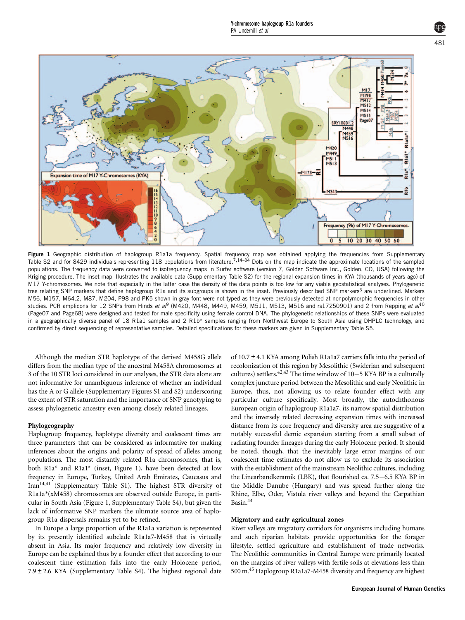<span id="page-2-0"></span>

Figure 1 Geographic distribution of haplogroup R1a1a frequency. Spatial frequency map was obtained applying the frequencies from Supplementary Table S2 and for 8429 individuals representing 118 populations from literature.[7,14–34](#page-4-0) Dots on the map indicate the approximate locations of the sampled populations. The frequency data were converted to isofrequency maps in Surfer software (version 7, Golden Software Inc., Golden, CO, USA) following the Kriging procedure. The inset map illustrates the available data (Supplementary Table S2) for the regional expansion times in KYA (thousands of years ago) of M17 Y-chromosomes. We note that especially in the latter case the density of the data points is too low for any viable geostatistical analyses. Phylogenetic tree relating SNP markers that define haplogroup R1a and its subgroups is shown in the inset. Previously described SNP markers<sup>[3](#page-4-0)</sup> are underlined. Markers M56, M157, M64.2, M87, M204, P98 and PK5 shown in gray font were not typed as they were previously detected at nonpolymorphic frequencies in other studies. PCR amplicons for 12 SNPs from Hinds et a $\beta$  (M420, M448, M44[9](#page-4-0), M459, M511, M513, M516 and rs17250901) and 2 from Repping et al<sup>[10](#page-4-0)</sup> (Page07 and Page68) were designed and tested for male specificity using female control DNA. The phylogenetic relationships of these SNPs were evaluated in a geographically diverse panel of 18 R1a1 samples and 2 R1b\* samples ranging from Northwest Europe to South Asia using DHPLC technology, and confirmed by direct sequencing of representative samples. Detailed specifications for these markers are given in Supplementary Table S5.

Although the median STR haplotype of the derived M458G allele differs from the median type of the ancestral M458A chromosomes at 3 of the 10 STR loci considered in our analyses, the STR data alone are not informative for unambiguous inference of whether an individual has the A or G allele (Supplementary Figures S1 and S2) underscoring the extent of STR saturation and the importance of SNP genotyping to assess phylogenetic ancestry even among closely related lineages.

#### Phylogeography

Haplogroup frequency, haplotype diversity and coalescent times are three parameters that can be considered as informative for making inferences about the origins and polarity of spread of alleles among populations. The most distantly related R1a chromosomes, that is, both R1a\* and R1a1\* (inset, Figure 1), have been detected at low frequency in Europe, Turkey, United Arab Emirates, Caucasus and Iran[14,41](#page-4-0) (Supplementary Table S1). The highest STR diversity of R1a1a\*(xM458) chromosomes are observed outside Europe, in particular in South Asia (Figure 1, Supplementary Table S4), but given the lack of informative SNP markers the ultimate source area of haplogroup R1a dispersals remains yet to be refined.

In Europe a large proportion of the R1a1a variation is represented by its presently identified subclade R1a1a7-M458 that is virtually absent in Asia. Its major frequency and relatively low diversity in Europe can be explained thus by a founder effect that according to our coalescent time estimation falls into the early Holocene period,  $7.9 \pm 2.6$  KYA (Supplementary Table S4). The highest regional date

of 10.7±4.1 KYA among Polish R1a1a7 carriers falls into the period of recolonization of this region by Mesolithic (Swiderian and subsequent cultures) settlers.<sup>42,43</sup> The time window of  $10-5$  KYA BP is a culturally complex juncture period between the Mesolithic and early Neolithic in Europe, thus, not allowing us to relate founder effect with any particular culture specifically. Most broadly, the autochthonous European origin of haplogroup R1a1a7, its narrow spatial distribution and the inversely related decreasing expansion times with increased distance from its core frequency and diversity area are suggestive of a notably successful demic expansion starting from a small subset of radiating founder lineages during the early Holocene period. It should be noted, though, that the inevitably large error margins of our coalescent time estimates do not allow us to exclude its association with the establishment of the mainstream Neolithic cultures, including the Linearbandkeramik (LBK), that flourished ca.  $7.5-6.5$  KYA BP in the Middle Danube (Hungary) and was spread further along the Rhine, Elbe, Oder, Vistula river valleys and beyond the Carpathian Basin[.44](#page-5-0)

#### Migratory and early agricultural zones

River valleys are migratory corridors for organisms including humans and such riparian habitats provide opportunities for the forager lifestyle, settled agriculture and establishment of trade networks. The Neolithic communities in Central Europe were primarily located on the margins of river valleys with fertile soils at elevations less than 500 m[.45](#page-5-0) Haplogroup R1a1a7-M458 diversity and frequency are highest

European Journal of Human Genetics

481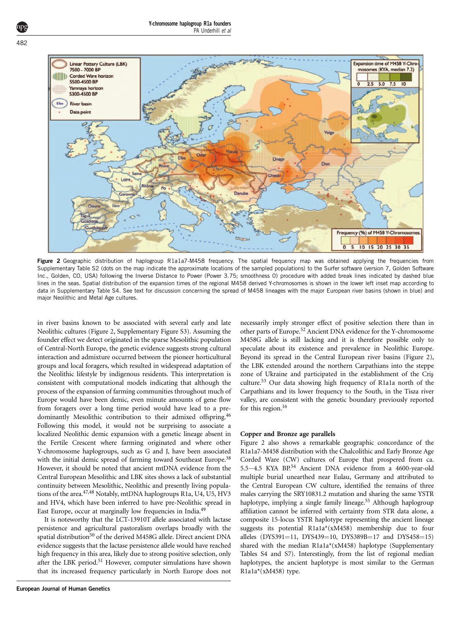

Figure 2 Geographic distribution of haplogroup R1a1a7-M458 frequency. The spatial frequency map was obtained applying the frequencies from Supplementary Table S2 (dots on the map indicate the approximate locations of the sampled populations) to the Surfer software (version 7, Golden Software Inc., Golden, CO, USA) following the Inverse Distance to Power (Power 3.75; smoothness 0) procedure with added break lines indicated by dashed blue lines in the seas. Spatial distribution of the expansion times of the regional M458 derived Y-chromosomes is shown in the lower left inset map according to data in Supplementary Table S4. See text for discussion concerning the spread of M458 lineages with the major European river basins (shown in blue) and major Neolithic and Metal Age cultures.

in river basins known to be associated with several early and late Neolithic cultures (Figure 2, Supplementary Figure S3). Assuming the founder effect we detect originated in the sparse Mesolithic population of Central-North Europe, the genetic evidence suggests strong cultural interaction and admixture occurred between the pioneer horticultural groups and local foragers, which resulted in widespread adaptation of the Neolithic lifestyle by indigenous residents. This interpretation is consistent with computational models indicating that although the process of the expansion of farming communities throughout much of Europe would have been demic, even minute amounts of gene flow from foragers over a long time period would have lead to a predominantly Mesolithic contribution to their admixed offspring[.46](#page-5-0) Following this model, it would not be surprising to associate a localized Neolithic demic expansion with a genetic lineage absent in the Fertile Crescent where farming originated and where other Y-chromosome haplogroups, such as G and J, have been associated with the initial demic spread of farming toward Southeast Europe.<sup>38</sup> However, it should be noted that ancient mtDNA evidence from the Central European Mesolithic and LBK sites shows a lack of substantial continuity between Mesolithic, Neolithic and presently living populations of the area.<sup>47,48</sup> Notably, mtDNA haplogroups R1a, U4, U5, HV3 and HV4, which have been inferred to have pre-Neolithic spread in East Europe, occur at marginally low frequencies in India[.49](#page-5-0)

It is noteworthy that the LCT-13910T allele associated with lactase persistence and agricultural pastoralism overlaps broadly with the spatial distribution<sup>[50](#page-5-0)</sup> of the derived M458G allele. Direct ancient DNA evidence suggests that the lactase persistence allele would have reached high frequency in this area, likely due to strong positive selection, only after the LBK period.<sup>51</sup> However, computer simulations have shown that its increased frequency particularly in North Europe does not

necessarily imply stronger effect of positive selection there than in other parts of Europe[.52](#page-5-0) Ancient DNA evidence for the Y-chromosome M458G allele is still lacking and it is therefore possible only to speculate about its existence and prevalence in Neolithic Europe. Beyond its spread in the Central European river basins (Figure 2), the LBK extended around the northern Carpathians into the steppe zone of Ukraine and participated in the establishment of the Cris¸ culture.[53](#page-5-0) Our data showing high frequency of R1a1a north of the Carpathians and its lower frequency to the South, in the Tisza river valley, are consistent with the genetic boundary previously reported for this region.<sup>16</sup>

#### Copper and Bronze age parallels

Figure 2 also shows a remarkable geographic concordance of the R1a1a7-M458 distribution with the Chalcolithic and Early Bronze Age Corded Ware (CW) cultures of Europe that prospered from ca. 5.5-4.5 KYA BP.<sup>[54](#page-5-0)</sup> Ancient DNA evidence from a 4600-year-old multiple burial unearthed near Eulau, Germany and attributed to the Central European CW culture, identified the remains of three males carrying the SRY10831.2 mutation and sharing the same YSTR haplotype, implying a single family lineage.<sup>[55](#page-5-0)</sup> Although haplogroup affiliation cannot be inferred with certainty from STR data alone, a composite 15-locus YSTR haplotype representing the ancient lineage suggests its potential R1a1a\*(xM458) membership due to four alleles (DYS391=11, DYS439=10, DYS389B=17 and DYS458=15) shared with the median R1a1a\*(xM458) haplotype (Supplementary Tables S4 and S7). Interestingly, from the list of regional median haplotypes, the ancient haplotype is most similar to the German R1a1a\*(xM458) type.

<span id="page-3-0"></span>482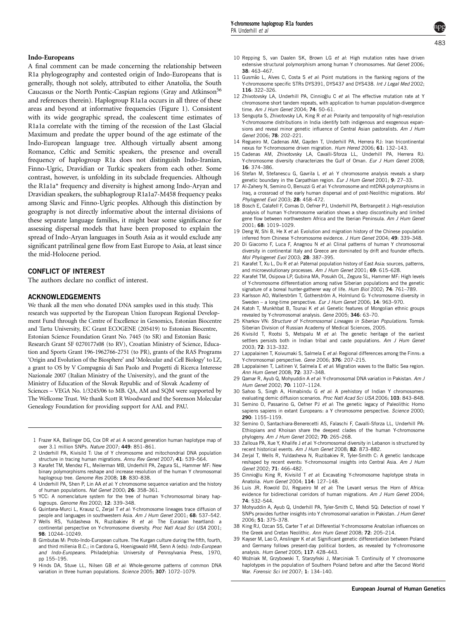## <span id="page-4-0"></span>Indo-Europeans

A final comment can be made concerning the relationship between R1a phylogeography and contested origin of Indo-Europeans that is generally, though not solely, attributed to either Anatolia, the South Caucasus or the North Pontic-Caspian regions (Gray and Atkinson<sup>[56](#page-5-0)</sup> and references therein). Haplogroup R1a1a occurs in all three of these areas and beyond at informative frequencies ([Figure 1](#page-2-0)). Consistent with its wide geographic spread, the coalescent time estimates of R1a1a correlate with the timing of the recession of the Last Glacial Maximum and predate the upper bound of the age estimate of the Indo-European language tree. Although virtually absent among Romance, Celtic and Semitic speakers, the presence and overall frequency of haplogroup R1a does not distinguish Indo-Iranian, Finno-Ugric, Dravidian or Turkic speakers from each other. Some contrast, however, is unfolding in its subclade frequencies. Although the R1a1a\* frequency and diversity is highest among Indo-Aryan and Dravidian speakers, the subhaplogroup R1a1a7-M458 frequency peaks among Slavic and Finno-Ugric peoples. Although this distinction by geography is not directly informative about the internal divisions of these separate language families, it might bear some significance for assessing dispersal models that have been proposed to explain the spread of Indo-Aryan languages in South Asia as it would exclude any significant patrilineal gene flow from East Europe to Asia, at least since the mid-Holocene period.

#### CONFLICT OF INTEREST

The authors declare no conflict of interest.

#### ACKNOWLEDGEMENTS

We thank all the men who donated DNA samples used in this study. This research was supported by the European Union European Regional Development Fund through the Centre of Excellence in Genomics, Estonian Biocentre and Tartu University, EC Grant ECOGENE (205419) to Estonian Biocentre, Estonian Science Foundation Grant No. 7445 (to SR) and Estonian Basic Research Grant SF 0270177s08 (to RV), Croatian Ministry of Science, Education and Sports Grant 196-1962766-2751 (to PR), grants of the RAS Programs 'Origin and Evolution of the Biosphere' and 'Molecular and Cell Biology' to LZ, a grant to OS by V Compagnia di San Paolo and Progetti di Ricerca Interesse Nazionale 2007 (Italian Ministry of the University), and the grant of the Ministry of Education of the Slovak Republic and of Slovak Academy of Sciences – VEGA No. 1/3245/06 to MB. QA, AM and SQM were supported by The Wellcome Trust. We thank Scott R Woodward and the Sorenson Molecular Genealogy Foundation for providing support for AAL and PAU.

- 1 Frazer KA, Ballinger DG, Cox DR et al: A second generation human haplotype map of over 3.1 million SNPs. Nature 2007; 449: 851–861.
- 2 Underhill PA, Kivisild T: Use of Y chromosome and mitochondrial DNA population structure in tracing human migrations. Annu Rev Genet 2007; 41: 539–564.
- 3 Karafet TM, Mendez FL, Meilerman MB, Underhill PA, Zegura SL, Hammer MF: New binary polymorphisms reshape and increase resolution of the human Y chromosomal haplogroup tree. Genome Res 2008; 18: 830-838.
- 4 Underhill PA, Shen P, Lin AA et al: Y chromosome sequence variation and the history of human populations. Nat Genet 2000; 26: 358–361.
- 5 YCC: A nomenclature system for the tree of human Y-chromosomal binary haplogroups. Genome Res 2002; 12: 339–348.
- 6 Quintana-Murci L, Krausz C, Zerjal T et al: Y-chromosome lineages trace diffusion of people and languages in southwestern Asia. Am J Hum Genet 2001; 68: 537–542.
- 7 Wells RS, Yuldasheva N, Ruzibakiev R et al: The Eurasian heartland: a continental perspective on Y-chromosome diversity. Proc Natl Acad Sci USA 2001; 98: 10244–10249.
- 8 Gimbutas M: Proto-Indo-European culture. The Kurgan culture during the fifth, fourth, and third millenia B.C.; in Cardona G, Hoenigswald HM, Senn A (eds): Indo-European and Indo-Europeans. Philadelphia: University of Pennsylvania Press, 1970, pp 155–195.
- 9 Hinds DA, Stuve LL, Nilsen GB et al: Whole-genome patterns of common DNA variation in three human populations. Science 2005; 307: 1072–1079.
- 10 Repping S, van Daalen SK, Brown LG et al: High mutation rates have driven extensive structural polymorphism among human Y chromosomes. Nat Genet 2006: 38: 463–467.
- 11 Gusmão L. Alves C, Costa S et al: Point mutations in the flanking regions of the Y-chromosome specific STRs DYS391, DYS437 and DYS438. Int J Legal Med 2002; 116: 322–326.
- 12 Zhivotovsky LA, Underhill PA, Cinnioğlu C et al: The effective mutation rate at Y chromosome short tandem repeats, with application to human population-divergence time. Am J Hum Genet 2004; 74: 50–61.
- 13 Sengupta S, Zhivotovsky LA, King R et al: Polarity and temporality of high-resolution Y-chromosome distributions in India identify both indigenous and exogenous expansions and reveal minor genetic influence of Central Asian pastoralists. Am J Hum Genet 2006; 78: 202–221.
- 14 Regueiro M, Cadenas AM, Gayden T, Underhill PA, Herrera RJ: Iran tricontinental nexus for Y-chromosome driven migration. Hum Hered 2006; 61: 132–143.
- 15 Cadenas AM, Zhivotovsky LA, Cavalli-Sforza LL, Underhill PA, Herrera RJ: Y-chromosome diversity characterizes the Gulf of Oman. Eur J Hum Genet 2008; 16: 374–386.
- 16 Stefan M, Stefanescu G, Gavrila L et al: Y chromosome analysis reveals a sharp genetic boundary in the Carpathian region. Eur J Hum Genet 2001; 9: 27–33.
- 17 Al-Zahery N, Semino O, Benuzzi G et al: Y-chromosome and mtDNA polymorphisms in Iraq, a crossroad of the early human dispersal and of post-Neolithic migrations. Mol Phylogenet Evol 2003; 28: 458–472.
- 18 Bosch E, Calafell F, Comas D, Oefner PJ, Underhill PA, Bertranpetit J: High-resolution analysis of human Y-chromosome variation shows a sharp discontinuity and limited gene flow between northwestern Africa and the Iberian Peninsula. Am J Hum Genet 2001; 68: 1019–1029.
- 19 Deng W, Shi B, He X et al: Evolution and migration history of the Chinese population inferred from Chinese Y-chromosome evidence. J Hum Genet 2004: 49: 339-348.
- 20 Di Giacomo F, Luca F, Anagnou N et al: Clinal patterns of human Y chromosomal diversity in continental Italy and Greece are dominated by drift and founder effects. Mol Phylogenet Evol 2003; 28: 387–395.
- 21 Karafet T, Xu L, Du R et al: Paternal population history of East Asia: sources, patterns, and microevolutionary processes. Am J Hum Genet 2001; 69: 615-628.
- 22 Karafet TM, Osipova LP, Gubina MA, Posukh OL, Zegura SL, Hammer MF: High levels of Y-chromosome differentiation among native Siberian populations and the genetic signature of a boreal hunter-gatherer way of life. Hum Biol 2002; 74: 761-789.
- 23 Karlsson AO, Wallerström T, Gotherström A, Holmlund G: Y-chromosome diversity in Sweden – a long-time perspective. Eur J Hum Genet 2006; 14: 963–970.
- 24 Katoh T, Munkhbat B, Tounai K et al: Genetic features of Mongolian ethnic groups revealed by Y-chromosomal analysis. Gene 2005; 346: 63–70.
- 25 Kharkov VN: Structure of Y-chromosomal Lineages in Siberian Populations. Tomsk: Siberian Division of Russian Academy of Medical Sciences, 2005.
- 26 Kivisild T, Rootsi S, Metspalu M et al: The genetic heritage of the earliest settlers persists both in Indian tribal and caste populations. Am J Hum Genet 2003; 72: 313–332.
- 27 Lappalainen T, Koivumaki S, Salmela E et al: Regional differences among the Finns: a Y-chromosomal perspective. Gene 2006; 376: 207–215.
- 28 Lappalainen T, Laitinen V, Salmela E et al: Migration waves to the Baltic Sea region. Ann Hum Genet 2008; 72: 337–348.
- 29 Qamar R, Ayub Q, Mohyuddin A et al: Y-chromosomal DNA variation in Pakistan. Am J Hum Genet 2002; 70: 1107–1124.
- 30 Sahoo S, Singh A, Himabindu G et al: A prehistory of Indian Y chromosomes: evaluating demic diffusion scenarios. Proc Natl Acad Sci USA 2006; 103: 843-848.
- 31 Semino O, Passarino G, Oefner PJ et al: The genetic legacy of Paleolithic Homo sapiens sapiens in extant Europeans: a Y chromosome perspective. Science 2000; 290: 1155–1159.
- 32 Semino O, Santachiara-Benerecetti AS, Falaschi F, Cavalli-Sforza LL, Underhill PA: Ethiopians and Khoisan share the deepest clades of the human Y-chromosome phylogeny. Am J Hum Genet 2002; 70: 265–268.
- 33 Zalloua PA, Xue Y, Khalife J et al: Y-chromosomal diversity in Lebanon is structured by recent historical events. Am J Hum Genet 2008; 82: 873–882.
- 34 Zerjal T, Wells R, Yuldasheva N, Ruzibakiev R, Tyler-Smith C: A genetic landscape reshaped by recent events: Y-chromosomal insights into Central Asia. Am J Hum Genet 2002; 71: 466–482.
- 35 Cinnioğlu King R, Kivisild T et al: Excavating Y-chromosome haplotype strata in Anatolia. Hum Genet 2004; 114: 127–148.
- 36 Luis JR, Rowold DJ, Regueiro M et al: The Levant versus the Horn of Africa: evidence for bidirectional corridors of human migrations. Am J Hum Genet 2004; 74: 532–544.
- 37 Mohyuddin A, Ayub Q, Underhill PA, Tyler-Smith C, Mehdi SQ: Detection of novel Y SNPs provides further insights into Y chromosomal variation in Pakistan. J Hum Genet 2006; 51: 375–378.
- 38 King RJ, Ozcan SS, Carter T et al: Differential Y-chromosome Anatolian influences on the Greek and Cretan Neolithic. Ann Hum Genet 2008; 72: 205–214.
- 39 Kayser M, Lao O, Anslinger K et al: Significant genetic differentiation between Poland and Germany follows present-day political borders, as revealed by Y-chromosome analysis. Hum Genet 2005; 117: 428–443.
- 40 Woźniak M, Grzybowski T, Starzyñski J, Marciniak T; Continuity of Y chromosome haplotypes in the population of Southern Poland before and after the Second World War. Forensic Sci Int 2007; 1: 134–140.